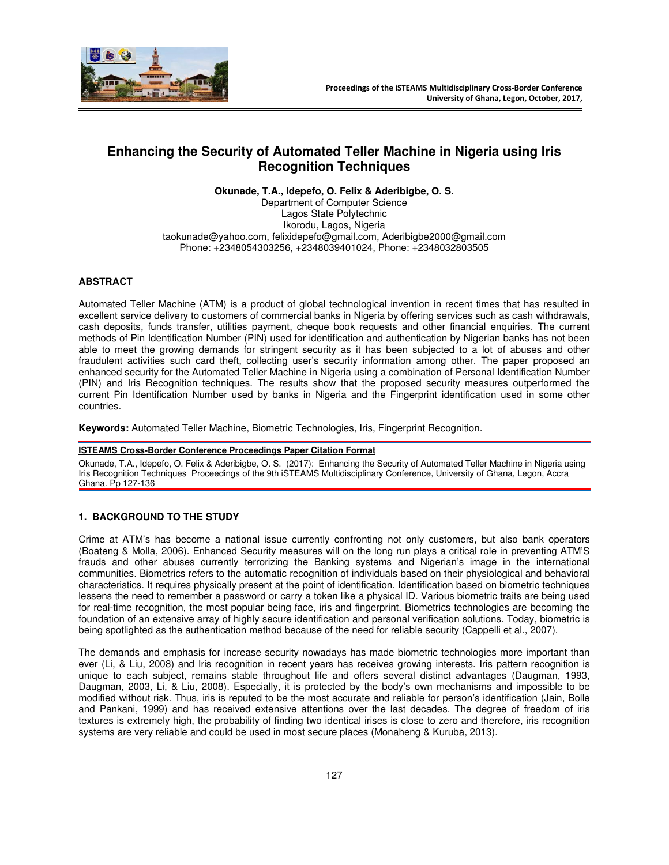

# **Enhancing the Security of Automated Teller Machine in Nigeria using Iris Recognition Techniques**

**Okunade, T.A., Idepefo, O. Felix & Aderibigbe, O. S.** 

Department of Computer Science Lagos State Polytechnic Ikorodu, Lagos, Nigeria taokunade@yahoo.com, felixidepefo@gmail.com, Aderibigbe2000@gmail.com Phone: +2348054303256, +2348039401024, Phone: +2348032803505

### **ABSTRACT**

Automated Teller Machine (ATM) is a product of global technological invention in recent times that has resulted in excellent service delivery to customers of commercial banks in Nigeria by offering services such as cash withdrawals, cash deposits, funds transfer, utilities payment, cheque book requests and other financial enquiries. The current methods of Pin Identification Number (PIN) used for identification and authentication by Nigerian banks has not been able to meet the growing demands for stringent security as it has been subjected to a lot of abuses and other fraudulent activities such card theft, collecting user's security information among other. The paper proposed an enhanced security for the Automated Teller Machine in Nigeria using a combination of Personal Identification Number (PIN) and Iris Recognition techniques. The results show that the proposed security measures outperformed the current Pin Identification Number used by banks in Nigeria and the Fingerprint identification used in some other countries.

**Keywords:** Automated Teller Machine, Biometric Technologies, Iris, Fingerprint Recognition.

### **ISTEAMS Cross-Border Conference Proceedings Paper Citation Format**

Okunade, T.A., Idepefo, O. Felix & Aderibigbe, O. S. (2017): Enhancing the Security of Automated Teller Machine in Nigeria using Iris Recognition Techniques Proceedings of the 9th iSTEAMS Multidisciplinary Conference, University of Ghana, Legon, Accra Ghana. Pp 127-136

### **1. BACKGROUND TO THE STUDY**

Crime at ATM's has become a national issue currently confronting not only customers, but also bank operators (Boateng & Molla, 2006). Enhanced Security measures will on the long run plays a critical role in preventing ATM'S frauds and other abuses currently terrorizing the Banking systems and Nigerian's image in the international communities. Biometrics refers to the automatic recognition of individuals based on their physiological and behavioral characteristics. It requires physically present at the point of identification. Identification based on biometric techniques lessens the need to remember a password or carry a token like a physical ID. Various biometric traits are being used for real-time recognition, the most popular being face, iris and fingerprint. Biometrics technologies are becoming the foundation of an extensive array of highly secure identification and personal verification solutions. Today, biometric is being spotlighted as the authentication method because of the need for reliable security (Cappelli et al., 2007).

The demands and emphasis for increase security nowadays has made biometric technologies more important than ever (Li, & Liu, 2008) and Iris recognition in recent years has receives growing interests. Iris pattern recognition is unique to each subject, remains stable throughout life and offers several distinct advantages (Daugman, 1993, Daugman, 2003, Li, & Liu, 2008). Especially, it is protected by the body's own mechanisms and impossible to be modified without risk. Thus, iris is reputed to be the most accurate and reliable for person's identification (Jain, Bolle and Pankani, 1999) and has received extensive attentions over the last decades. The degree of freedom of iris textures is extremely high, the probability of finding two identical irises is close to zero and therefore, iris recognition systems are very reliable and could be used in most secure places (Monaheng & Kuruba, 2013).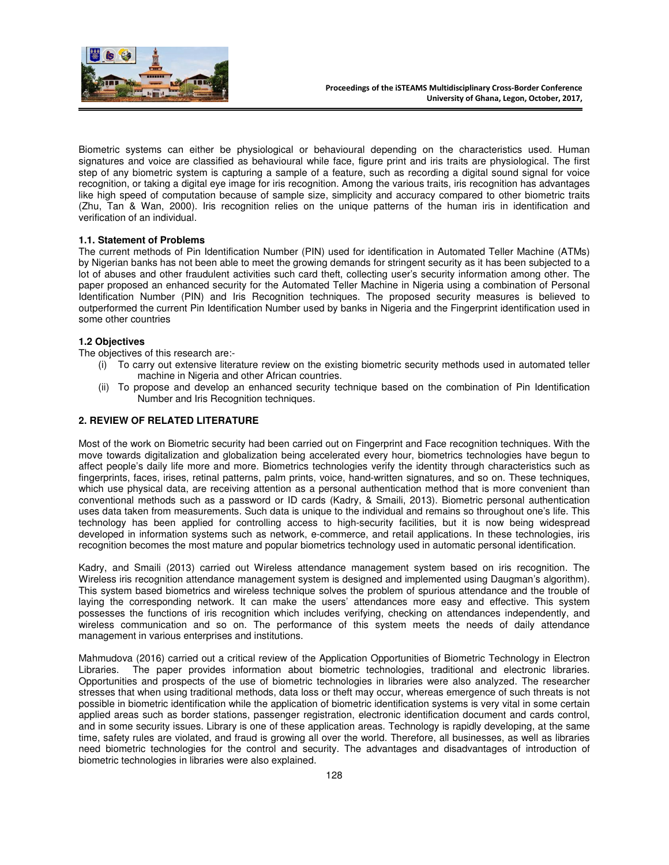

Biometric systems can either be physiological or behavioural depending on the characteristics used. Human signatures and voice are classified as behavioural while face, figure print and iris traits are physiological. The first step of any biometric system is capturing a sample of a feature, such as recording a digital sound signal for voice recognition, or taking a digital eye image for iris recognition. Among the various traits, iris recognition has advantages like high speed of computation because of sample size, simplicity and accuracy compared to other biometric traits (Zhu, Tan & Wan, 2000). Iris recognition relies on the unique patterns of the human iris in identification and verification of an individual.

### **1.1. Statement of Problems**

The current methods of Pin Identification Number (PIN) used for identification in Automated Teller Machine (ATMs) by Nigerian banks has not been able to meet the growing demands for stringent security as it has been subjected to a lot of abuses and other fraudulent activities such card theft, collecting user's security information among other. The paper proposed an enhanced security for the Automated Teller Machine in Nigeria using a combination of Personal Identification Number (PIN) and Iris Recognition techniques. The proposed security measures is believed to outperformed the current Pin Identification Number used by banks in Nigeria and the Fingerprint identification used in some other countries

### **1.2 Objectives**

The objectives of this research are:-

- (i) To carry out extensive literature review on the existing biometric security methods used in automated teller machine in Nigeria and other African countries.
- (ii) To propose and develop an enhanced security technique based on the combination of Pin Identification Number and Iris Recognition techniques.

### **2. REVIEW OF RELATED LITERATURE**

Most of the work on Biometric security had been carried out on Fingerprint and Face recognition techniques. With the move towards digitalization and globalization being accelerated every hour, biometrics technologies have begun to affect people's daily life more and more. Biometrics technologies verify the identity through characteristics such as fingerprints, faces, irises, retinal patterns, palm prints, voice, hand-written signatures, and so on. These techniques, which use physical data, are receiving attention as a personal authentication method that is more convenient than conventional methods such as a password or ID cards (Kadry, & Smaili, 2013). Biometric personal authentication uses data taken from measurements. Such data is unique to the individual and remains so throughout one's life. This technology has been applied for controlling access to high-security facilities, but it is now being widespread developed in information systems such as network, e-commerce, and retail applications. In these technologies, iris recognition becomes the most mature and popular biometrics technology used in automatic personal identification.

Kadry, and Smaili (2013) carried out Wireless attendance management system based on iris recognition. The Wireless iris recognition attendance management system is designed and implemented using Daugman's algorithm). This system based biometrics and wireless technique solves the problem of spurious attendance and the trouble of laying the corresponding network. It can make the users' attendances more easy and effective. This system possesses the functions of iris recognition which includes verifying, checking on attendances independently, and wireless communication and so on. The performance of this system meets the needs of daily attendance management in various enterprises and institutions.

Mahmudova (2016) carried out a critical review of the Application Opportunities of Biometric Technology in Electron Libraries. The paper provides information about biometric technologies, traditional and electronic libraries. Opportunities and prospects of the use of biometric technologies in libraries were also analyzed. The researcher stresses that when using traditional methods, data loss or theft may occur, whereas emergence of such threats is not possible in biometric identification while the application of biometric identification systems is very vital in some certain applied areas such as border stations, passenger registration, electronic identification document and cards control, and in some security issues. Library is one of these application areas. Technology is rapidly developing, at the same time, safety rules are violated, and fraud is growing all over the world. Therefore, all businesses, as well as libraries need biometric technologies for the control and security. The advantages and disadvantages of introduction of biometric technologies in libraries were also explained.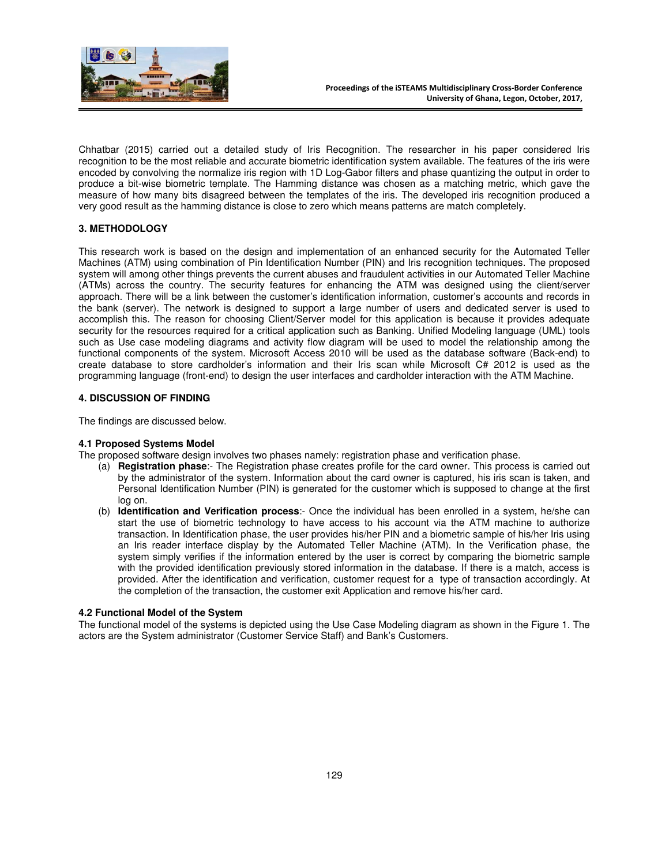

Chhatbar (2015) carried out a detailed study of Iris Recognition. The researcher in his paper considered Iris recognition to be the most reliable and accurate biometric identification system available. The features of the iris were encoded by convolving the normalize iris region with 1D Log-Gabor filters and phase quantizing the output in order to produce a bit-wise biometric template. The Hamming distance was chosen as a matching metric, which gave the measure of how many bits disagreed between the templates of the iris. The developed iris recognition produced a very good result as the hamming distance is close to zero which means patterns are match completely.

# **3. METHODOLOGY**

This research work is based on the design and implementation of an enhanced security for the Automated Teller Machines (ATM) using combination of Pin Identification Number (PIN) and Iris recognition techniques. The proposed system will among other things prevents the current abuses and fraudulent activities in our Automated Teller Machine (ATMs) across the country. The security features for enhancing the ATM was designed using the client/server approach. There will be a link between the customer's identification information, customer's accounts and records in the bank (server). The network is designed to support a large number of users and dedicated server is used to accomplish this. The reason for choosing Client/Server model for this application is because it provides adequate security for the resources required for a critical application such as Banking. Unified Modeling language (UML) tools such as Use case modeling diagrams and activity flow diagram will be used to model the relationship among the functional components of the system. Microsoft Access 2010 will be used as the database software (Back-end) to create database to store cardholder's information and their Iris scan while Microsoft C# 2012 is used as the programming language (front-end) to design the user interfaces and cardholder interaction with the ATM Machine.

### **4. DISCUSSION OF FINDING**

The findings are discussed below.

### **4.1 Proposed Systems Model**

The proposed software design involves two phases namely: registration phase and verification phase.

- (a) **Registration phase**:- The Registration phase creates profile for the card owner. This process is carried out by the administrator of the system. Information about the card owner is captured, his iris scan is taken, and Personal Identification Number (PIN) is generated for the customer which is supposed to change at the first log on.
- (b) **Identification and Verification process**:- Once the individual has been enrolled in a system, he/she can start the use of biometric technology to have access to his account via the ATM machine to authorize transaction. In Identification phase, the user provides his/her PIN and a biometric sample of his/her Iris using an Iris reader interface display by the Automated Teller Machine (ATM). In the Verification phase, the system simply verifies if the information entered by the user is correct by comparing the biometric sample with the provided identification previously stored information in the database. If there is a match, access is provided. After the identification and verification, customer request for a type of transaction accordingly. At the completion of the transaction, the customer exit Application and remove his/her card.

#### **4.2 Functional Model of the System**

The functional model of the systems is depicted using the Use Case Modeling diagram as shown in the Figure 1. The actors are the System administrator (Customer Service Staff) and Bank's Customers.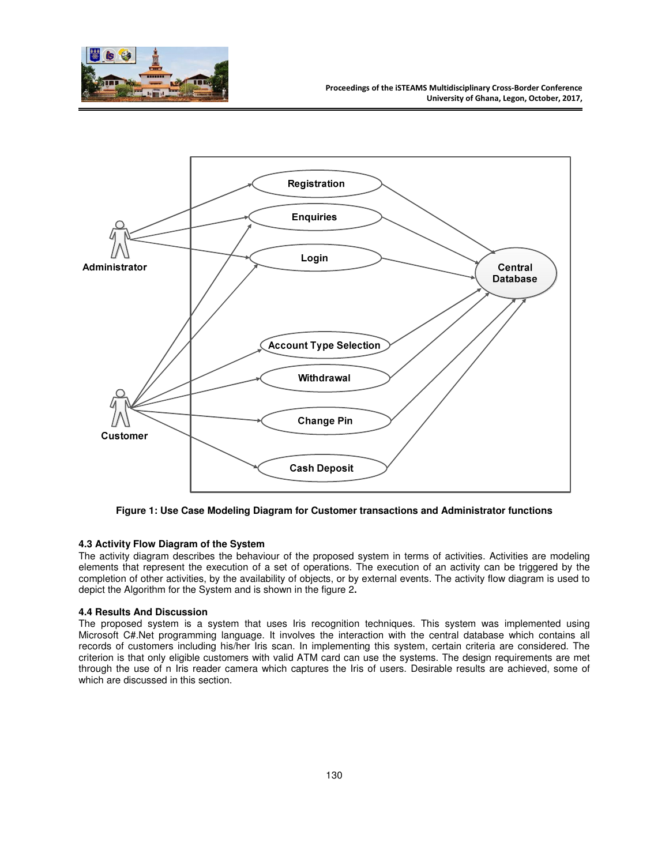



**Figure 1: Use Case Modeling Diagram for Customer transactions and Administrator functions** 

#### **4.3 Activity Flow Diagram of the System**

The activity diagram describes the behaviour of the proposed system in terms of activities. Activities are modeling elements that represent the execution of a set of operations. The execution of an activity can be triggered by the completion of other activities, by the availability of objects, or by external events. The activity flow diagram is used to depict the Algorithm for the System and is shown in the figure 2**.** 

# **4.4 Results And Discussion**

The proposed system is a system that uses Iris recognition techniques. This system was implemented using Microsoft C#.Net programming language. It involves the interaction with the central database which contains all records of customers including his/her Iris scan. In implementing this system, certain criteria are considered. The criterion is that only eligible customers with valid ATM card can use the systems. The design requirements are met through the use of n Iris reader camera which captures the Iris of users. Desirable results are achieved, some of which are discussed in this section.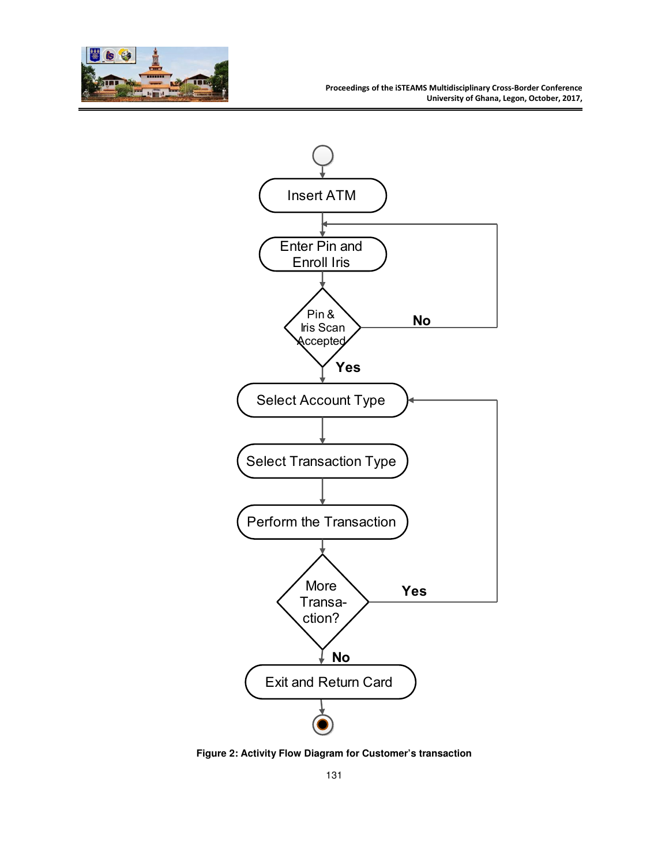



**Figure 2: Activity Flow Diagram for Customer's transaction**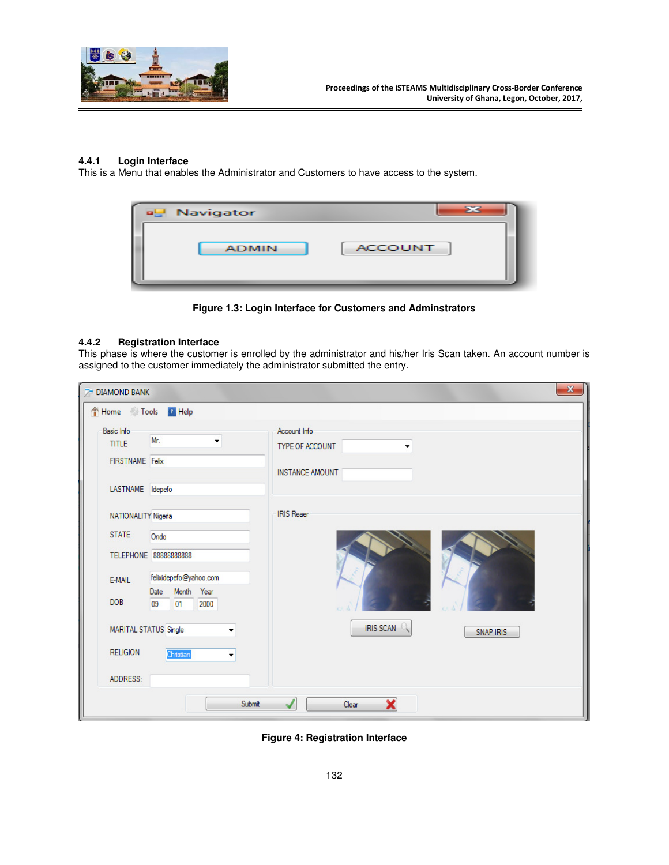

# **4.4.1 Login Interface**

This is a Menu that enables the Administrator and Customers to have access to the system.



**Figure 1.3: Login Interface for Customers and Adminstrators** 

## **4.4.2 Registration Interface**

This phase is where the customer is enrolled by the administrator and his/her Iris Scan taken. An account number is assigned to the customer immediately the administrator submitted the entry.

| Home Tools P Help                                                        |                                                                                                   |                                                                |
|--------------------------------------------------------------------------|---------------------------------------------------------------------------------------------------|----------------------------------------------------------------|
| <b>Basic Info</b><br><b>TITLE</b><br>FIRSTNAME Felix<br>LASTNAME Idepefo | Mr.<br>۰                                                                                          | Account Info<br>TYPE OF ACCOUNT<br>۰<br><b>INSTANCE AMOUNT</b> |
| NATIONALITY Nigeria<br><b>STATE</b><br>E-MAIL<br><b>DOB</b>              | Ondo<br>TELEPHONE 88888888888<br>felixidepefo@yahoo.com<br>Month Year<br>Date<br>09<br>2000<br>01 | <b>IRIS Reaer</b>                                              |
| MARITAL STATUS Single<br><b>RELIGION</b>                                 | ۰<br>Christian<br>$\blacktriangledown$                                                            | IRIS SCAN<br><b>SNAP IRIS</b>                                  |
| ADDRESS:                                                                 | Submit                                                                                            | ×<br>Clear                                                     |

**Figure 4: Registration Interface**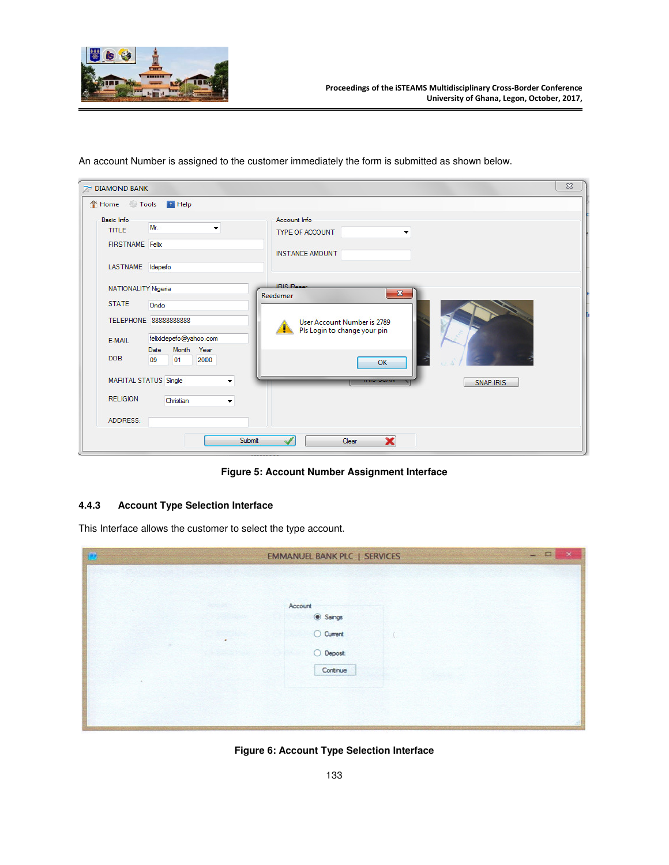

| 7 DIAMOND BANK<br>Home Tools P Help                               |                                                                                      |                                                                                                              | $\Sigma$ |
|-------------------------------------------------------------------|--------------------------------------------------------------------------------------|--------------------------------------------------------------------------------------------------------------|----------|
| Basic Info<br><b>TITLE</b><br><b>FIRSTNAME</b> Felix              | Mr.<br>▼                                                                             | Account Info<br><b>TYPE OF ACCOUNT</b><br>۰<br><b>INSTANCE AMOUNT</b>                                        |          |
| LASTNAME Idepefo<br>NATIONALITY Nigeria<br><b>STATE</b><br>E-MAIL | Ondo<br>TELEPHONE 88888888888<br>felixidepefo@yahoo.com                              | <b>IRIS Reser</b><br>$\mathbf{x}$<br>Reedemer<br>User Account Number is 2789<br>Pls Login to change your pin |          |
| <b>DOB</b><br>MARITAL STATUS Single<br><b>RELIGION</b>            | Month Year<br>Date<br>09<br>2000<br>01<br>۰<br>Christian<br>$\overline{\phantom{0}}$ | OK<br><b>SNAP IRIS</b>                                                                                       |          |
| ADDRESS:                                                          | Submit                                                                               | ×<br>Clear                                                                                                   |          |

An account Number is assigned to the customer immediately the form is submitted as shown below.

**Figure 5: Account Number Assignment Interface** 

# **4.4.3 Account Type Selection Interface**

This Interface allows the customer to select the type account.

| Đ | <b>EMMANUEL BANK PLC   SERVICES</b> | $\mathbf{X}$<br>$ \Box$ |
|---|-------------------------------------|-------------------------|
|   |                                     |                         |
|   |                                     |                         |
|   | Account                             |                         |
|   | Saings                              |                         |
| × | O Current                           |                         |
|   | $O$ Deposit                         |                         |
|   | Continue                            |                         |
|   |                                     |                         |
|   |                                     |                         |
|   |                                     |                         |

**Figure 6: Account Type Selection Interface**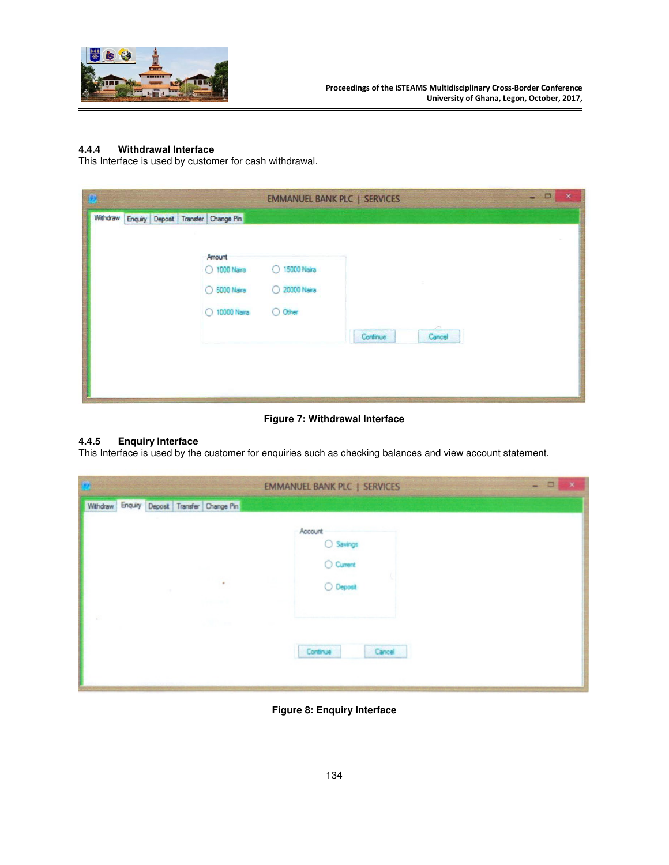

# **4.4.4 Withdrawal Interface**

This Interface is used by customer for cash withdrawal.

| Æ |  |                                                         |                                           | <b>EMMANUEL BANK PLC   SERVICES</b> | $\boldsymbol{\times}$<br>o |
|---|--|---------------------------------------------------------|-------------------------------------------|-------------------------------------|----------------------------|
|   |  | Withdraw Enquiry Deposit Transfer Change Pin            |                                           |                                     |                            |
|   |  | Amount<br>O 1000 Naira<br>O 5000 Naira<br>O 10000 Naira | O 15000 Naira<br>○ 20000 Naira<br>O Other |                                     |                            |
|   |  |                                                         |                                           | Continue<br>Cancel                  |                            |

**Figure 7: Withdrawal Interface** 

# **4.4.5 Enquiry Interface**

This Interface is used by the customer for enquiries such as checking balances and view account statement.

|        |  |                                              | <b>EMMANUEL BANK PLC   SERVICES</b> | <b>Service</b> | $\Box$ | $\rightarrow$ |
|--------|--|----------------------------------------------|-------------------------------------|----------------|--------|---------------|
|        |  | Withdraw Enquiry Deposit Transfer Change Pin |                                     |                |        |               |
|        |  |                                              | Account                             |                |        |               |
|        |  |                                              |                                     |                |        |               |
|        |  |                                              | ○ Savings<br>○ Cument               |                |        |               |
|        |  | ٠                                            | $O$ Deposit                         |                |        |               |
|        |  |                                              |                                     |                |        |               |
| $\sim$ |  | 333 m                                        |                                     |                |        |               |
|        |  |                                              | Cancel<br>Continue                  |                |        |               |
|        |  |                                              |                                     |                |        |               |
|        |  |                                              |                                     |                |        |               |

**Figure 8: Enquiry Interface**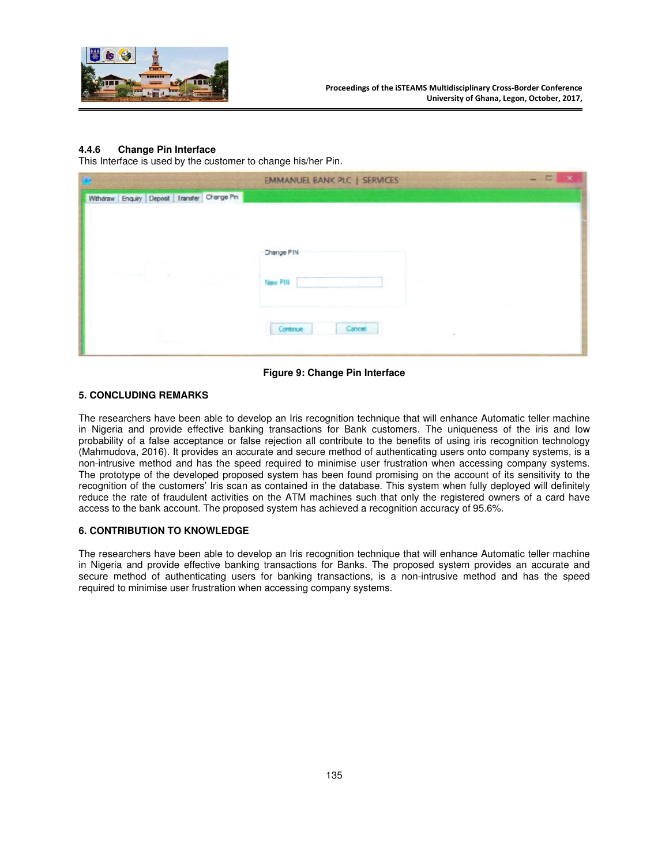

### **4.4.6 Change Pin Interface**

This Interface is used by the customer to change his/her Pin.

|                                                  | <b>EMMANUEL BANK PLC   SERVICES</b> |
|--------------------------------------------------|-------------------------------------|
| Withdraw Enquiry Deposit   Transfer   Change Pin |                                     |
|                                                  | Change PIN<br>New PIN               |
| <b>Copy and Contract</b>                         | Cancel<br>Continue<br>$\sim$        |

**Figure 9: Change Pin Interface** 

## **5. CONCLUDING REMARKS**

The researchers have been able to develop an Iris recognition technique that will enhance Automatic teller machine in Nigeria and provide effective banking transactions for Bank customers. The uniqueness of the iris and low probability of a false acceptance or false rejection all contribute to the benefits of using iris recognition technology (Mahmudova, 2016). It provides an accurate and secure method of authenticating users onto company systems, is a non-intrusive method and has the speed required to minimise user frustration when accessing company systems. The prototype of the developed proposed system has been found promising on the account of its sensitivity to the recognition of the customers' Iris scan as contained in the database. This system when fully deployed will definitely reduce the rate of fraudulent activities on the ATM machines such that only the registered owners of a card have access to the bank account. The proposed system has achieved a recognition accuracy of 95.6%.

### **6. CONTRIBUTION TO KNOWLEDGE**

The researchers have been able to develop an Iris recognition technique that will enhance Automatic teller machine in Nigeria and provide effective banking transactions for Banks. The proposed system provides an accurate and secure method of authenticating users for banking transactions, is a non-intrusive method and has the speed required to minimise user frustration when accessing company systems.